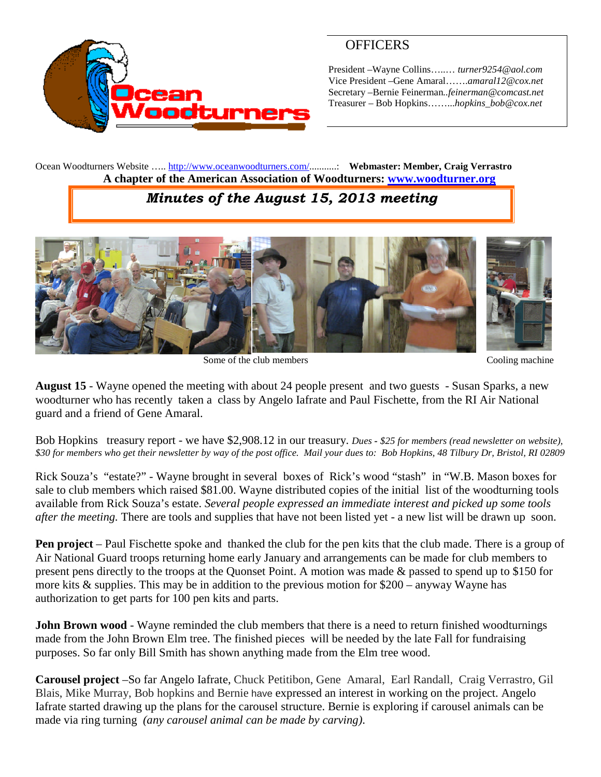

## **OFFICERS**

President –Wayne Collins…..… *turner9254@aol.com* Vice President –Gene Amaral…….*amaral12@cox.net* Secretary –Bernie Feinerman*..feinerman@comcast.net* Treasurer – Bob Hopkins……...*hopkins\_bob@cox.net*

Ocean Woodturners Website ….. <http://www.oceanwoodturners.com/>...........: **Webmaster: Member, Craig Verrastro A chapter of the American Association of Woodturners: [www.woodturner.org](http://www.woodturner.org/)**

## *Minutes of the August 15, 2013 meeting*



Some of the club members Cooling machine

**August 15** - Wayne opened the meeting with about 24 people present and two guests - Susan Sparks, a new woodturner who has recently taken a class by Angelo Iafrate and Paul Fischette, from the RI Air National guard and a friend of Gene Amaral.

Bob Hopkins treasury report - we have \$2,908.12 in our treasury. *Dues - \$25 for members (read newsletter on website), \$30 for members who get their newsletter by way of the post office. Mail your dues to: Bob Hopkins, 48 Tilbury Dr, Bristol, RI 02809*

Rick Souza's "estate?" - Wayne brought in several boxes of Rick's wood "stash" in "W.B. Mason boxes for sale to club members which raised \$81.00. Wayne distributed copies of the initial list of the woodturning tools available from Rick Souza's estate. *Several people expressed an immediate interest and picked up some tools after the meeting.* There are tools and supplies that have not been listed yet - a new list will be drawn up soon.

**Pen project** – Paul Fischette spoke and thanked the club for the pen kits that the club made. There is a group of Air National Guard troops returning home early January and arrangements can be made for club members to present pens directly to the troops at the Quonset Point. A motion was made & passed to spend up to \$150 for more kits  $\&$  supplies. This may be in addition to the previous motion for \$200 – anyway Wayne has authorization to get parts for 100 pen kits and parts.

**John Brown wood** - Wayne reminded the club members that there is a need to return finished woodturnings made from the John Brown Elm tree. The finished pieces will be needed by the late Fall for fundraising purposes. So far only Bill Smith has shown anything made from the Elm tree wood.

**Carousel project** –So far Angelo Iafrate, Chuck Petitibon, Gene Amaral, Earl Randall, Craig Verrastro, Gil Blais, Mike Murray, Bob hopkins and Bernie have expressed an interest in working on the project. Angelo Iafrate started drawing up the plans for the carousel structure. Bernie is exploring if carousel animals can be made via ring turning *(any carousel animal can be made by carving)*.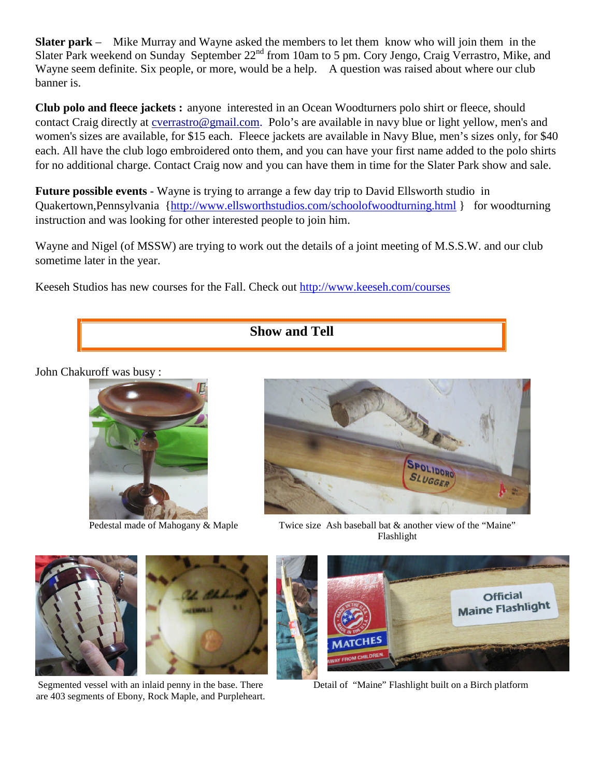**Slater park** – Mike Murray and Wayne asked the members to let them know who will join them in the Slater Park weekend on Sunday September 22<sup>nd</sup> from 10am to 5 pm. Cory Jengo, Craig Verrastro, Mike, and Wayne seem definite. Six people, or more, would be a help. A question was raised about where our club banner is.

**Club polo and fleece jackets :** anyone interested in an Ocean Woodturners polo shirt or fleece, should contact Craig directly at [cverrastro@gmail.com.](mailto:cverrastro@gmail.com) Polo's are available in navy blue or light yellow, men's and women's sizes are available, for \$15 each. Fleece jackets are available in Navy Blue, men's sizes only, for \$40 each. All have the club logo embroidered onto them, and you can have your first name added to the polo shirts for no additional charge. Contact Craig now and you can have them in time for the Slater Park show and sale.

**Future possible events** - Wayne is trying to arrange a few day trip to David Ellsworth studio in Quakertown,Pennsylvania [{http://www.ellsworthstudios.com/schoolofwoodturning.html](http://www.ellsworthstudios.com/schoolofwoodturning.html) } for woodturning instruction and was looking for other interested people to join him.

Wayne and Nigel (of MSSW) are trying to work out the details of a joint meeting of M.S.S.W. and our club sometime later in the year.

Keeseh Studios has new courses for the Fall. Check out <http://www.keeseh.com/courses>



John Chakuroff was busy :





Pedestal made of Mahogany & Maple Twice size Ash baseball bat & another view of the "Maine" Flashlight



Segmented vessel with an inlaid penny in the base. There are 403 segments of Ebony, Rock Maple, and Purpleheart.



Detail of "Maine" Flashlight built on a Birch platform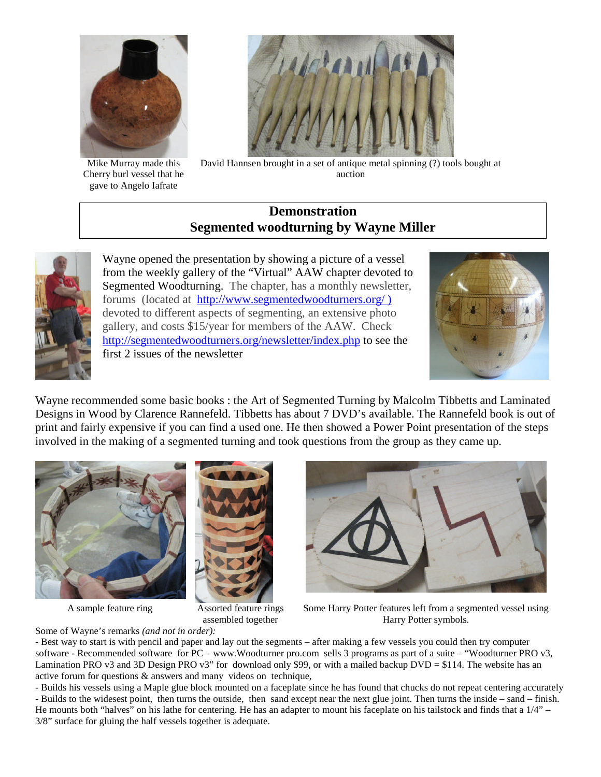

Mike Murray made this Cherry burl vessel that he gave to Angelo Iafrate



David Hannsen brought in a set of antique metal spinning (?) tools bought at auction

## **Demonstration Segmented woodturning by Wayne Miller**



Wayne opened the presentation by showing a picture of a vessel from the weekly gallery of the "Virtual" AAW chapter devoted to Segmented Woodturning. The chapter, has a monthly newsletter, forums (located at <http://www.segmentedwoodturners.org/> ) devoted to different aspects of segmenting, an extensive photo gallery, and costs \$15/year for members of the AAW. Check <http://segmentedwoodturners.org/newsletter/index.php> to see the first 2 issues of the newsletter



Wayne recommended some basic books : the Art of Segmented Turning by Malcolm Tibbetts and Laminated Designs in Wood by Clarence Rannefeld. Tibbetts has about 7 DVD's available. The Rannefeld book is out of print and fairly expensive if you can find a used one. He then showed a Power Point presentation of the steps involved in the making of a segmented turning and took questions from the group as they came up.





A sample feature ring Assorted feature rings assembled together



Some Harry Potter features left from a segmented vessel using Harry Potter symbols.

Some of Wayne's remarks *(and not in order):*

- Best way to start is with pencil and paper and lay out the segments – after making a few vessels you could then try computer software - Recommended software for PC – www.Woodturner pro.com sells 3 programs as part of a suite – "Woodturner PRO v3, Lamination PRO v3 and 3D Design PRO v3" for download only \$99, or with a mailed backup DVD = \$114. The website has an active forum for questions & answers and many videos on technique,

- Builds his vessels using a Maple glue block mounted on a faceplate since he has found that chucks do not repeat centering accurately - Builds to the widesest point, then turns the outside, then sand except near the next glue joint. Then turns the inside – sand – finish. He mounts both "halves" on his lathe for centering. He has an adapter to mount his faceplate on his tailstock and finds that a 1/4" – 3/8" surface for gluing the half vessels together is adequate.